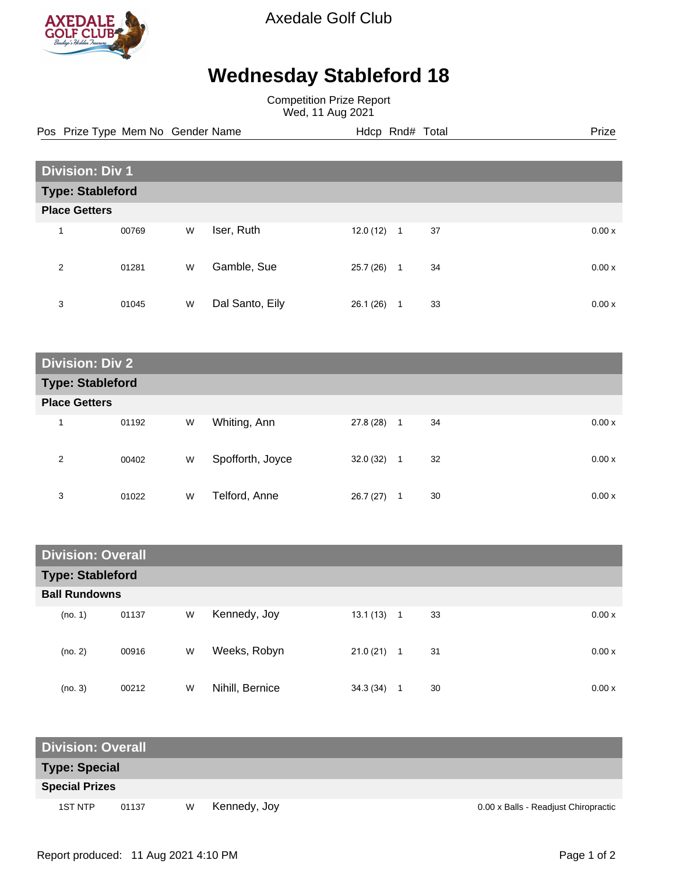

Axedale Golf Club

## **Wednesday Stableford 18**

Competition Prize Report Wed, 11 Aug 2021

Pos Prize Type Mem No Gender Name **Hdcp Rnd# Total** Prize Prize

| <b>Division: Div 1</b>  |       |   |                 |           |                |    |        |  |  |
|-------------------------|-------|---|-----------------|-----------|----------------|----|--------|--|--|
| <b>Type: Stableford</b> |       |   |                 |           |                |    |        |  |  |
| <b>Place Getters</b>    |       |   |                 |           |                |    |        |  |  |
| 1                       | 00769 | W | Iser, Ruth      | 12.0(12)  | $\overline{1}$ | 37 | 0.00x  |  |  |
| 2                       | 01281 | W | Gamble, Sue     | 25.7 (26) | $\mathbf{1}$   | 34 | 0.00 x |  |  |
| 3                       | 01045 | W | Dal Santo, Eily | 26.1 (26) | 1              | 33 | 0.00x  |  |  |

| <b>Division: Div 2</b>  |       |   |                  |           |   |    |        |  |  |
|-------------------------|-------|---|------------------|-----------|---|----|--------|--|--|
| <b>Type: Stableford</b> |       |   |                  |           |   |    |        |  |  |
| <b>Place Getters</b>    |       |   |                  |           |   |    |        |  |  |
| 1                       | 01192 | W | Whiting, Ann     | 27.8 (28) | 1 | 34 | 0.00 x |  |  |
| 2                       | 00402 | W | Spofforth, Joyce | 32.0(32)  | 1 | 32 | 0.00x  |  |  |
| 3                       | 01022 | W | Telford, Anne    | 26.7(27)  | 1 | 30 | 0.00x  |  |  |

| <b>Division: Overall</b> |       |   |                 |          |                |    |  |       |  |
|--------------------------|-------|---|-----------------|----------|----------------|----|--|-------|--|
| <b>Type: Stableford</b>  |       |   |                 |          |                |    |  |       |  |
| <b>Ball Rundowns</b>     |       |   |                 |          |                |    |  |       |  |
| (no. 1)                  | 01137 | W | Kennedy, Joy    | 13.1(13) | $\overline{1}$ | 33 |  | 0.00x |  |
| (no. 2)                  | 00916 | W | Weeks, Robyn    | 21.0(21) | 1              | 31 |  | 0.00x |  |
| (no. 3)                  | 00212 | W | Nihill, Bernice | 34.3(34) |                | 30 |  | 0.00x |  |

| <b>Division: Overall</b> |       |   |              |                                      |  |  |  |  |
|--------------------------|-------|---|--------------|--------------------------------------|--|--|--|--|
| <b>Type: Special</b>     |       |   |              |                                      |  |  |  |  |
| <b>Special Prizes</b>    |       |   |              |                                      |  |  |  |  |
| 1ST NTP                  | 01137 | W | Kennedy, Joy | 0.00 x Balls - Readjust Chiropractic |  |  |  |  |